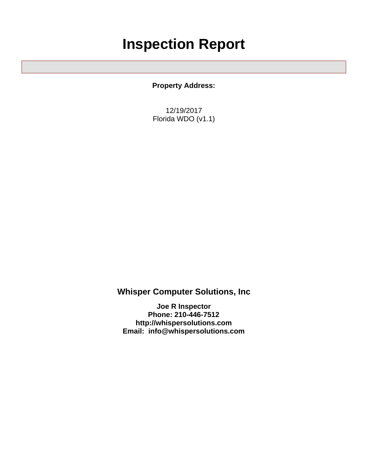## **Inspection Report**

**Property Address:**

12/19/2017 Florida WDO (v1.1)

**Whisper Computer Solutions, Inc**

**Joe R Inspector Phone: 210-446-7512 <http://whispersolutions.com> Email: info@whispersolutions.com**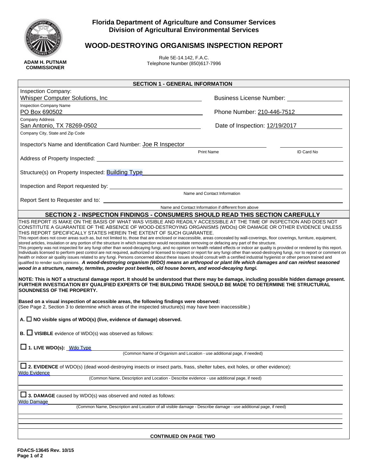

**COMMISSIONER**

## **Florida Department of Agriculture and Consumer Services Division of Agricultural Environmental Services**

## **WOOD-DESTROYING ORGANISMS INSPECTION REPORT**

Rule 5E-14.142, F.A.C. Telephone Number (850)617-7996

| <b>SECTION 1 - GENERAL INFORMATION</b>                                                                                                                                                                                                                                                                                                                                                                                                                                                                                                                                                                                                                                                                                                                                                                                                                                                                                                                                                                                                                                                                                                                                                                                                                                                                                                                                                                                                                                                                                                                                                                                                                 |                                                                                                                                                                                                                                |            |  |
|--------------------------------------------------------------------------------------------------------------------------------------------------------------------------------------------------------------------------------------------------------------------------------------------------------------------------------------------------------------------------------------------------------------------------------------------------------------------------------------------------------------------------------------------------------------------------------------------------------------------------------------------------------------------------------------------------------------------------------------------------------------------------------------------------------------------------------------------------------------------------------------------------------------------------------------------------------------------------------------------------------------------------------------------------------------------------------------------------------------------------------------------------------------------------------------------------------------------------------------------------------------------------------------------------------------------------------------------------------------------------------------------------------------------------------------------------------------------------------------------------------------------------------------------------------------------------------------------------------------------------------------------------------|--------------------------------------------------------------------------------------------------------------------------------------------------------------------------------------------------------------------------------|------------|--|
| Inspection Company:<br><b>Whisper Computer Solutions, Inc.</b>                                                                                                                                                                                                                                                                                                                                                                                                                                                                                                                                                                                                                                                                                                                                                                                                                                                                                                                                                                                                                                                                                                                                                                                                                                                                                                                                                                                                                                                                                                                                                                                         | Business License Number: National Property of the Muslim Contract of the Muslim Contract of the Muslim Contract of the Muslim Contract of the Muslim Contract of the Muslim Contract of the Muslim Contract of the Muslim Cont |            |  |
| <b>Inspection Company Name</b><br>PO Box 690502                                                                                                                                                                                                                                                                                                                                                                                                                                                                                                                                                                                                                                                                                                                                                                                                                                                                                                                                                                                                                                                                                                                                                                                                                                                                                                                                                                                                                                                                                                                                                                                                        | Phone Number: 210-446-7512                                                                                                                                                                                                     |            |  |
| Company Address<br>San Antonio, TX 78269-0502                                                                                                                                                                                                                                                                                                                                                                                                                                                                                                                                                                                                                                                                                                                                                                                                                                                                                                                                                                                                                                                                                                                                                                                                                                                                                                                                                                                                                                                                                                                                                                                                          | Date of Inspection: 12/19/2017                                                                                                                                                                                                 |            |  |
| Company City, State and Zip Code                                                                                                                                                                                                                                                                                                                                                                                                                                                                                                                                                                                                                                                                                                                                                                                                                                                                                                                                                                                                                                                                                                                                                                                                                                                                                                                                                                                                                                                                                                                                                                                                                       |                                                                                                                                                                                                                                |            |  |
| Inspector's Name and Identification Card Number: Joe R Inspector                                                                                                                                                                                                                                                                                                                                                                                                                                                                                                                                                                                                                                                                                                                                                                                                                                                                                                                                                                                                                                                                                                                                                                                                                                                                                                                                                                                                                                                                                                                                                                                       | Print Name                                                                                                                                                                                                                     | ID Card No |  |
|                                                                                                                                                                                                                                                                                                                                                                                                                                                                                                                                                                                                                                                                                                                                                                                                                                                                                                                                                                                                                                                                                                                                                                                                                                                                                                                                                                                                                                                                                                                                                                                                                                                        |                                                                                                                                                                                                                                |            |  |
| Structure(s) on Property Inspected: Building Type                                                                                                                                                                                                                                                                                                                                                                                                                                                                                                                                                                                                                                                                                                                                                                                                                                                                                                                                                                                                                                                                                                                                                                                                                                                                                                                                                                                                                                                                                                                                                                                                      | <u>and the state of the state of the state of the state of the state of the state of the state of the state of th</u>                                                                                                          |            |  |
|                                                                                                                                                                                                                                                                                                                                                                                                                                                                                                                                                                                                                                                                                                                                                                                                                                                                                                                                                                                                                                                                                                                                                                                                                                                                                                                                                                                                                                                                                                                                                                                                                                                        |                                                                                                                                                                                                                                |            |  |
|                                                                                                                                                                                                                                                                                                                                                                                                                                                                                                                                                                                                                                                                                                                                                                                                                                                                                                                                                                                                                                                                                                                                                                                                                                                                                                                                                                                                                                                                                                                                                                                                                                                        | Name and Contact Information                                                                                                                                                                                                   |            |  |
|                                                                                                                                                                                                                                                                                                                                                                                                                                                                                                                                                                                                                                                                                                                                                                                                                                                                                                                                                                                                                                                                                                                                                                                                                                                                                                                                                                                                                                                                                                                                                                                                                                                        | Name and Contact Information if different from above                                                                                                                                                                           |            |  |
| SECTION 2 - INSPECTION FINDINGS - CONSUMERS SHOULD READ THIS SECTION CAREFULLY                                                                                                                                                                                                                                                                                                                                                                                                                                                                                                                                                                                                                                                                                                                                                                                                                                                                                                                                                                                                                                                                                                                                                                                                                                                                                                                                                                                                                                                                                                                                                                         |                                                                                                                                                                                                                                |            |  |
| stored articles, insulation or any portion of the structure in which inspection would necessitate removing or defacing any part of the structure.<br>This property was not inspected for any fungi other than wood-decaying fungi, and no opinion on health related effects or indoor air quality is provided or rendered by this report.<br>Individuals licensed to perform pest control are not required, authorized or licensed to inspect or report for any fungi other than wood-destroying fungi, nor to report or comment on<br>health or indoor air quality issues related to any fungi. Persons concerned about these issues should consult with a certified industrial hygienist or other person trained and<br>qualified to render such opinions. A wood-destroying organism (WDO) means an arthropod or plant life which damages and can reinfest seasoned<br>wood in a structure, namely, termites, powder post beetles, old house borers, and wood-decaying fungi.<br>NOTE: This is NOT a structural damage report. It should be understood that there may be damage, including possible hidden damage present.<br>FURTHER INVESTIGATION BY QUALIFIED EXPERTS OF THE BUILDING TRADE SHOULD BE MADE TO DETERMINE THE STRUCTURAL<br><b>SOUNDNESS OF THE PROPERTY.</b><br>Based on a visual inspection of accessible areas, the following findings were observed:<br>(See Page 2, Section 3 to determine which areas of the inspected structure(s) may have been inaccessible.)<br>A. $\Box$ NO visible signs of WDO(s) (live, evidence of damage) observed.<br><b>B.</b> $\Box$ <b>VISIBLE</b> evidence of WDO(s) was observed as follows: |                                                                                                                                                                                                                                |            |  |
| $\Box$ 1. LIVE WDO(s): $\underline{\text{Wdo Type}}$                                                                                                                                                                                                                                                                                                                                                                                                                                                                                                                                                                                                                                                                                                                                                                                                                                                                                                                                                                                                                                                                                                                                                                                                                                                                                                                                                                                                                                                                                                                                                                                                   |                                                                                                                                                                                                                                |            |  |
|                                                                                                                                                                                                                                                                                                                                                                                                                                                                                                                                                                                                                                                                                                                                                                                                                                                                                                                                                                                                                                                                                                                                                                                                                                                                                                                                                                                                                                                                                                                                                                                                                                                        | (Common Name of Organism and Location - use additional page, if needed)                                                                                                                                                        |            |  |
| □ 2. EVIDENCE of WDO(s) (dead wood-destroying insects or insect parts, frass, shelter tubes, exit holes, or other evidence):<br><b>Wdo Evidence</b>                                                                                                                                                                                                                                                                                                                                                                                                                                                                                                                                                                                                                                                                                                                                                                                                                                                                                                                                                                                                                                                                                                                                                                                                                                                                                                                                                                                                                                                                                                    |                                                                                                                                                                                                                                |            |  |
| (Common Name, Description and Location - Describe evidence - use additional page, if need)                                                                                                                                                                                                                                                                                                                                                                                                                                                                                                                                                                                                                                                                                                                                                                                                                                                                                                                                                                                                                                                                                                                                                                                                                                                                                                                                                                                                                                                                                                                                                             |                                                                                                                                                                                                                                |            |  |
| $\Box$ 3. DAMAGE caused by WDO(s) was observed and noted as follows:<br>Wdo Damage<br>(Common Name, Description and Location of all visible damage - Describe damage - use additional page, if need)                                                                                                                                                                                                                                                                                                                                                                                                                                                                                                                                                                                                                                                                                                                                                                                                                                                                                                                                                                                                                                                                                                                                                                                                                                                                                                                                                                                                                                                   |                                                                                                                                                                                                                                |            |  |
|                                                                                                                                                                                                                                                                                                                                                                                                                                                                                                                                                                                                                                                                                                                                                                                                                                                                                                                                                                                                                                                                                                                                                                                                                                                                                                                                                                                                                                                                                                                                                                                                                                                        |                                                                                                                                                                                                                                |            |  |

**CONTINUED ON PAGE TWO**